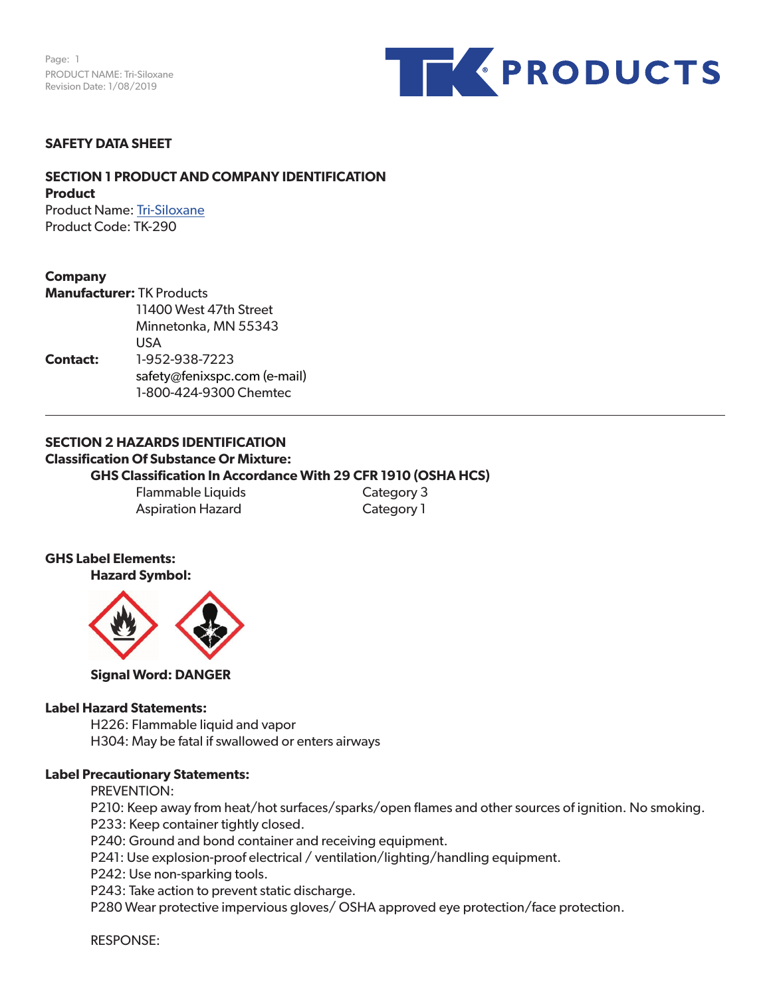Page: 1 PRODUCT NAME: Tri-Siloxane Revision Date: 1/08/2019



### **SAFETY DATA SHEET**

# **SECTION 1 PRODUCT AND COMPANY IDENTIFICATION Product**

Product Name: Tri-Siloxane Product Code: TK-290

# **Company**

|                 | <b>Manufacturer: TK Products</b> |  |  |  |
|-----------------|----------------------------------|--|--|--|
|                 | 11400 West 47th Street           |  |  |  |
|                 | Minnetonka, MN 55343             |  |  |  |
|                 | USA                              |  |  |  |
| <b>Contact:</b> | 1-952-938-7223                   |  |  |  |
|                 | safety@fenixspc.com (e-mail)     |  |  |  |
|                 | 1-800-424-9300 Chemtec           |  |  |  |

### **SECTION 2 HAZARDS IDENTIFICATION Classification Of Substance Or Mixture: GHS Classification In Accordance With 29 CFR 1910 (OSHA HCS)**

Flammable Liquids Category 3 Aspiration Hazard Category 1

### **GHS Label Elements: Hazard Symbol:**



**Signal Word: DANGER**

### **Label Hazard Statements:**

H226: Flammable liquid and vapor H304: May be fatal if swallowed or enters airways

# **Label Precautionary Statements:**

PREVENTION:

P210: Keep away from heat/hot surfaces/sparks/open flames and other sources of ignition. No smoking. P233: Keep container tightly closed.

P240: Ground and bond container and receiving equipment.

P241: Use explosion-proof electrical / ventilation/lighting/handling equipment.

P242: Use non-sparking tools.

P243: Take action to prevent static discharge.

P280 Wear protective impervious gloves/ OSHA approved eye protection/face protection.

RESPONSE: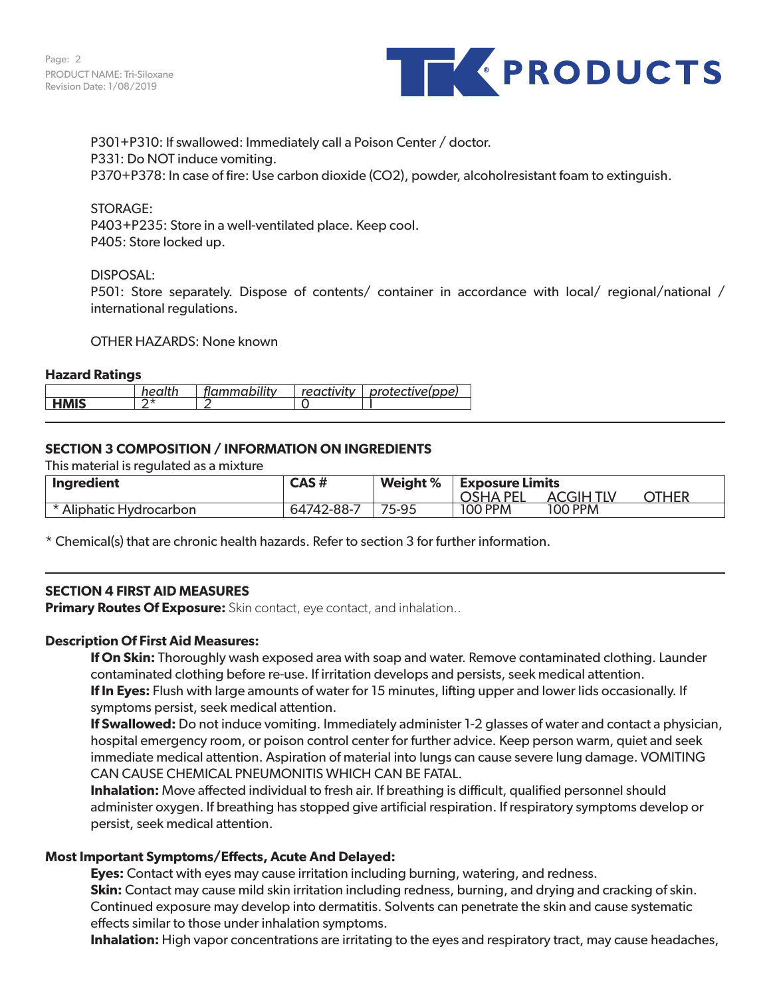

P301+P310: If swallowed: Immediately call a Poison Center / doctor. P331: Do NOT induce vomiting. P370+P378: In case of fire: Use carbon dioxide (CO2), powder, alcoholresistant foam to extinguish.

### STORAGE:

P403+P235: Store in a well-ventilated place. Keep cool. P405: Store locked up.

### DISPOSAL:

P501: Store separately. Dispose of contents/ container in accordance with local/ regional/national / international regulations.

#### OTHER HAZARDS: None known

#### **Hazard Ratings**

|             | hoalth | flammability | reactivity | protective(ppe) |
|-------------|--------|--------------|------------|-----------------|
| <b>HMIS</b> | ⌒ ⊥    |              |            |                 |

### **SECTION 3 COMPOSITION / INFORMATION ON INGREDIENTS**

This material is regulated as a mixture

| Ingredient              | CAS #      | <b>Weight</b> % | <b>Exposure Limits</b> |                 |              |  |
|-------------------------|------------|-----------------|------------------------|-----------------|--------------|--|
|                         |            |                 | DE)<br>7SHA ,          | CGIH TIV<br>AC. | <b>DTHER</b> |  |
| * Aliphatic Hydrocarbon | 64742-88-7 | 75-95           | <b>100 PPM</b>         | 100 PPM         |              |  |

\* Chemical(s) that are chronic health hazards. Refer to section 3 for further information.

# **SECTION 4 FIRST AID MEASURES**

**Primary Routes Of Exposure:** Skin contact, eye contact, and inhalation..

### **Description Of First Aid Measures:**

**If On Skin:** Thoroughly wash exposed area with soap and water. Remove contaminated clothing. Launder contaminated clothing before re-use. If irritation develops and persists, seek medical attention. **If In Eyes:** Flush with large amounts of water for 15 minutes, lifting upper and lower lids occasionally. If symptoms persist, seek medical attention.

**If Swallowed:** Do not induce vomiting. Immediately administer 1-2 glasses of water and contact a physician, hospital emergency room, or poison control center for further advice. Keep person warm, quiet and seek immediate medical attention. Aspiration of material into lungs can cause severe lung damage. VOMITING CAN CAUSE CHEMICAL PNEUMONITIS WHICH CAN BE FATAL.

**Inhalation:** Move affected individual to fresh air. If breathing is difficult, qualified personnel should administer oxygen. If breathing has stopped give artificial respiration. If respiratory symptoms develop or persist, seek medical attention.

### **Most Important Symptoms/Effects, Acute And Delayed:**

**Eyes:** Contact with eyes may cause irritation including burning, watering, and redness.

**Skin:** Contact may cause mild skin irritation including redness, burning, and drying and cracking of skin. Continued exposure may develop into dermatitis. Solvents can penetrate the skin and cause systematic effects similar to those under inhalation symptoms.

**Inhalation:** High vapor concentrations are irritating to the eyes and respiratory tract, may cause headaches,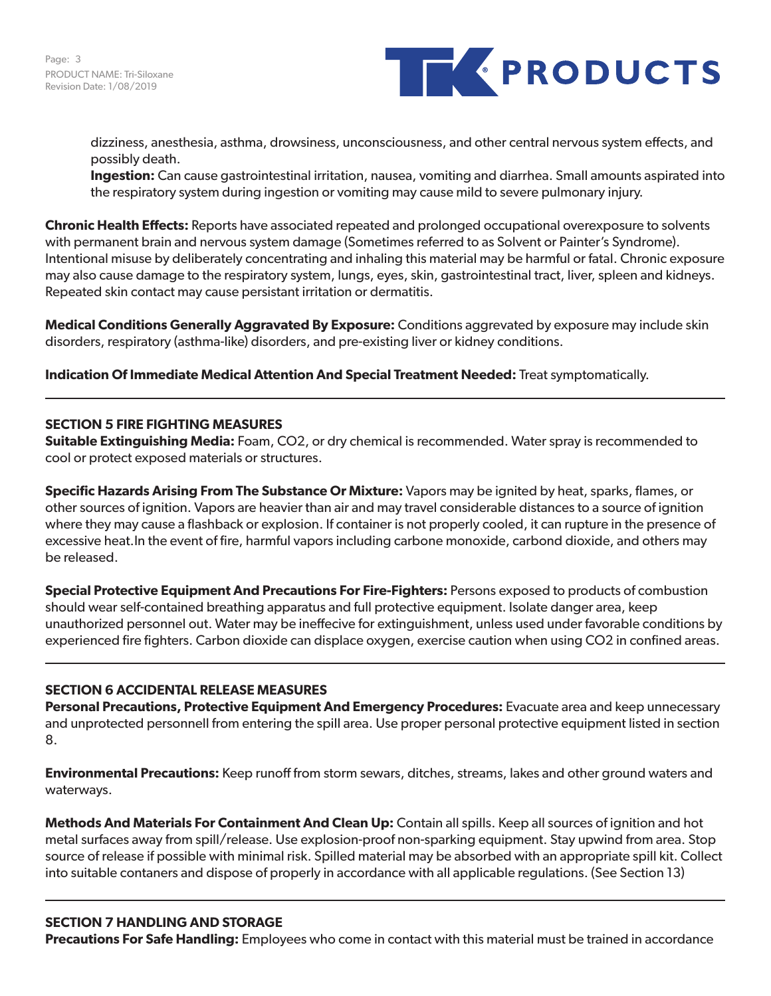

dizziness, anesthesia, asthma, drowsiness, unconsciousness, and other central nervous system effects, and possibly death.

**Ingestion:** Can cause gastrointestinal irritation, nausea, vomiting and diarrhea. Small amounts aspirated into the respiratory system during ingestion or vomiting may cause mild to severe pulmonary injury.

**Chronic Health Effects:** Reports have associated repeated and prolonged occupational overexposure to solvents with permanent brain and nervous system damage (Sometimes referred to as Solvent or Painter's Syndrome). Intentional misuse by deliberately concentrating and inhaling this material may be harmful or fatal. Chronic exposure may also cause damage to the respiratory system, lungs, eyes, skin, gastrointestinal tract, liver, spleen and kidneys. Repeated skin contact may cause persistant irritation or dermatitis.

**Medical Conditions Generally Aggravated By Exposure:** Conditions aggrevated by exposure may include skin disorders, respiratory (asthma-like) disorders, and pre-existing liver or kidney conditions.

**Indication Of Immediate Medical Attention And Special Treatment Needed:** Treat symptomatically.

# **SECTION 5 FIRE FIGHTING MEASURES**

**Suitable Extinguishing Media:** Foam, CO2, or dry chemical is recommended. Water spray is recommended to cool or protect exposed materials or structures.

**Specific Hazards Arising From The Substance Or Mixture:** Vapors may be ignited by heat, sparks, flames, or other sources of ignition. Vapors are heavier than air and may travel considerable distances to a source of ignition where they may cause a flashback or explosion. If container is not properly cooled, it can rupture in the presence of excessive heat.In the event of fire, harmful vapors including carbone monoxide, carbond dioxide, and others may be released.

**Special Protective Equipment And Precautions For Fire-Fighters:** Persons exposed to products of combustion should wear self-contained breathing apparatus and full protective equipment. Isolate danger area, keep unauthorized personnel out. Water may be ineffecive for extinguishment, unless used under favorable conditions by experienced fire fighters. Carbon dioxide can displace oxygen, exercise caution when using CO2 in confined areas.

# **SECTION 6 ACCIDENTAL RELEASE MEASURES**

**Personal Precautions, Protective Equipment And Emergency Procedures:** Evacuate area and keep unnecessary and unprotected personnell from entering the spill area. Use proper personal protective equipment listed in section 8.

**Environmental Precautions:** Keep runoff from storm sewars, ditches, streams, lakes and other ground waters and waterways.

**Methods And Materials For Containment And Clean Up:** Contain all spills. Keep all sources of ignition and hot metal surfaces away from spill/release. Use explosion-proof non-sparking equipment. Stay upwind from area. Stop source of release if possible with minimal risk. Spilled material may be absorbed with an appropriate spill kit. Collect into suitable contaners and dispose of properly in accordance with all applicable regulations. (See Section 13)

# **SECTION 7 HANDLING AND STORAGE**

**Precautions For Safe Handling:** Employees who come in contact with this material must be trained in accordance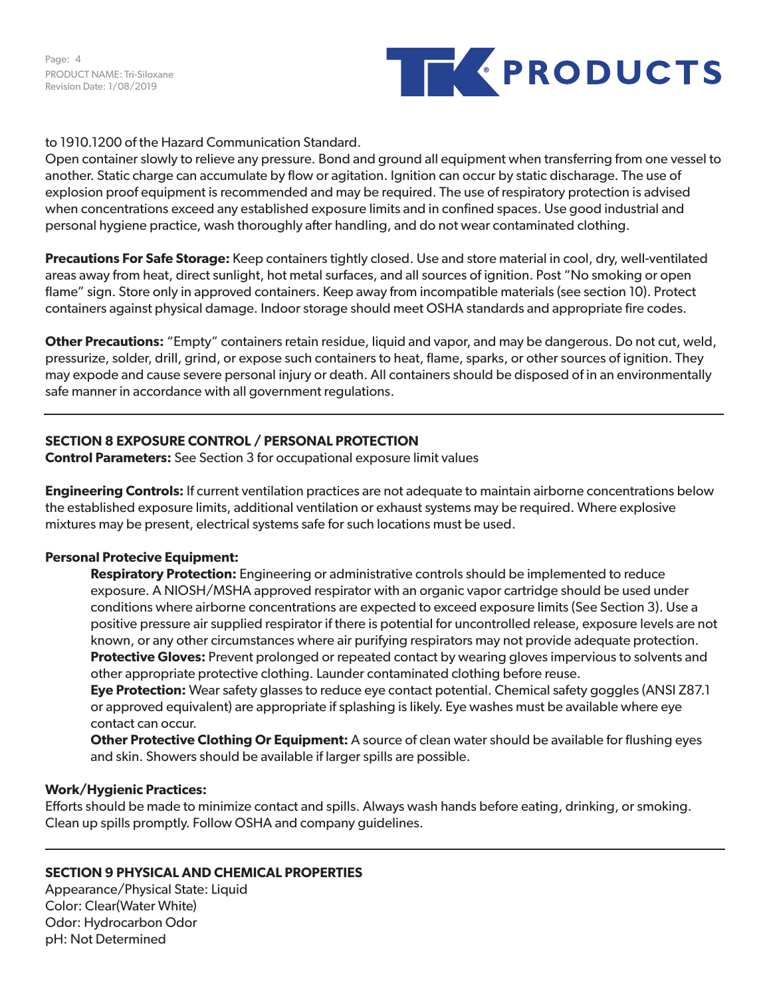Page: 4 PRODUCT NAME: Tri-Siloxane Revision Date: 1/08/2019



# to 1910.1200 of the Hazard Communication Standard.

Open container slowly to relieve any pressure. Bond and ground all equipment when transferring from one vessel to another. Static charge can accumulate by flow or agitation. Ignition can occur by static discharage. The use of explosion proof equipment is recommended and may be required. The use of respiratory protection is advised when concentrations exceed any established exposure limits and in confined spaces. Use good industrial and personal hygiene practice, wash thoroughly after handling, and do not wear contaminated clothing.

**Precautions For Safe Storage:** Keep containers tightly closed. Use and store material in cool, dry, well-ventilated areas away from heat, direct sunlight, hot metal surfaces, and all sources of ignition. Post "No smoking or open flame" sign. Store only in approved containers. Keep away from incompatible materials (see section 10). Protect containers against physical damage. Indoor storage should meet OSHA standards and appropriate fire codes.

**Other Precautions:** "Empty" containers retain residue, liquid and vapor, and may be dangerous. Do not cut, weld, pressurize, solder, drill, grind, or expose such containers to heat, flame, sparks, or other sources of ignition. They may expode and cause severe personal injury or death. All containers should be disposed of in an environmentally safe manner in accordance with all government regulations.

# **SECTION 8 EXPOSURE CONTROL / PERSONAL PROTECTION**

**Control Parameters:** See Section 3 for occupational exposure limit values

**Engineering Controls:** If current ventilation practices are not adequate to maintain airborne concentrations below the established exposure limits, additional ventilation or exhaust systems may be required. Where explosive mixtures may be present, electrical systems safe for such locations must be used.

# **Personal Protecive Equipment:**

**Respiratory Protection:** Engineering or administrative controls should be implemented to reduce exposure. A NIOSH/MSHA approved respirator with an organic vapor cartridge should be used under conditions where airborne concentrations are expected to exceed exposure limits (See Section 3). Use a positive pressure air supplied respirator if there is potential for uncontrolled release, exposure levels are not known, or any other circumstances where air purifying respirators may not provide adequate protection. **Protective Gloves:** Prevent prolonged or repeated contact by wearing gloves impervious to solvents and other appropriate protective clothing. Launder contaminated clothing before reuse.

**Eye Protection:** Wear safety glasses to reduce eye contact potential. Chemical safety goggles (ANSI Z87.1 or approved equivalent) are appropriate if splashing is likely. Eye washes must be available where eye contact can occur.

**Other Protective Clothing Or Equipment:** A source of clean water should be available for flushing eyes and skin. Showers should be available if larger spills are possible.

# **Work/Hygienic Practices:**

Efforts should be made to minimize contact and spills. Always wash hands before eating, drinking, or smoking. Clean up spills promptly. Follow OSHA and company guidelines.

# **SECTION 9 PHYSICAL AND CHEMICAL PROPERTIES**

Appearance/Physical State: Liquid Color: Clear(Water White) Odor: Hydrocarbon Odor pH: Not Determined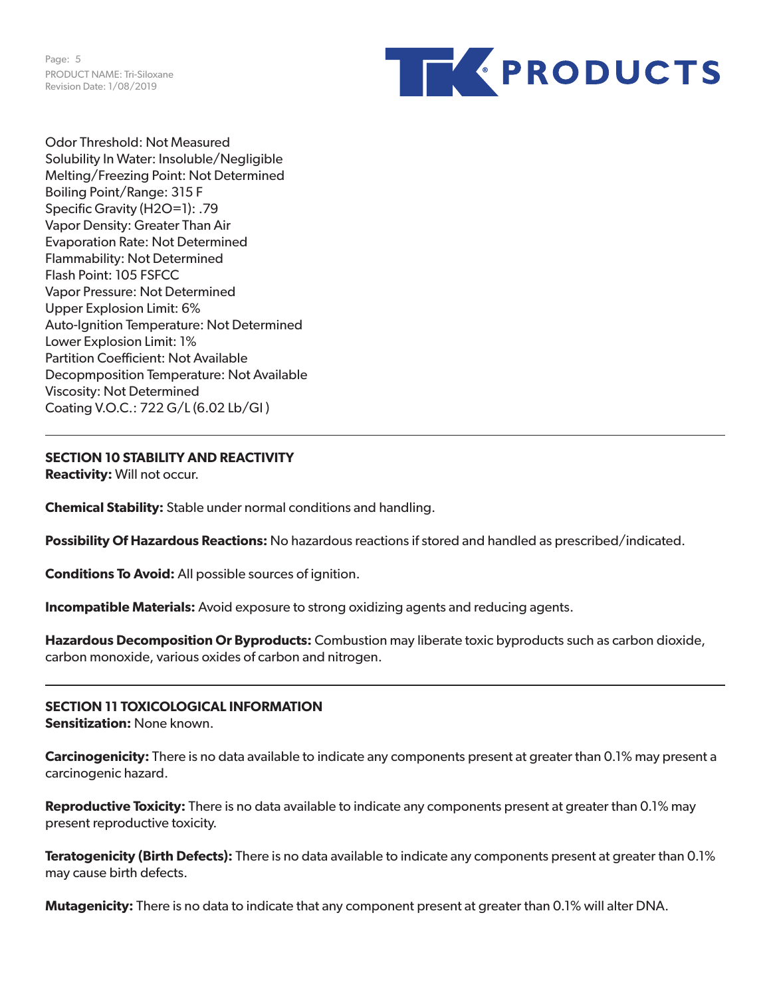Page: 5 PRODUCT NAME: Tri-Siloxane Revision Date: 1/08/2019



Odor Threshold: Not Measured Solubility In Water: Insoluble/Negligible Melting/Freezing Point: Not Determined Boiling Point/Range: 315 F Specific Gravity (H2O=1): .79 Vapor Density: Greater Than Air Evaporation Rate: Not Determined Flammability: Not Determined Flash Point: 105 FSFCC Vapor Pressure: Not Determined Upper Explosion Limit: 6% Auto-Ignition Temperature: Not Determined Lower Explosion Limit: 1% Partition Coefficient: Not Available Decopmposition Temperature: Not Available Viscosity: Not Determined Coating V.O.C.: 722 G/L (6.02 Lb/Gl )

**SECTION 10 STABILITY AND REACTIVITY**

**Reactivity:** Will not occur.

**Chemical Stability:** Stable under normal conditions and handling.

**Possibility Of Hazardous Reactions:** No hazardous reactions if stored and handled as prescribed/indicated.

**Conditions To Avoid:** All possible sources of ignition.

**Incompatible Materials:** Avoid exposure to strong oxidizing agents and reducing agents.

**Hazardous Decomposition Or Byproducts:** Combustion may liberate toxic byproducts such as carbon dioxide, carbon monoxide, various oxides of carbon and nitrogen.

**SECTION 11 TOXICOLOGICAL INFORMATION Sensitization:** None known.

**Carcinogenicity:** There is no data available to indicate any components present at greater than 0.1% may present a carcinogenic hazard.

**Reproductive Toxicity:** There is no data available to indicate any components present at greater than 0.1% may present reproductive toxicity.

**Teratogenicity (Birth Defects):** There is no data available to indicate any components present at greater than 0.1% may cause birth defects.

**Mutagenicity:** There is no data to indicate that any component present at greater than 0.1% will alter DNA.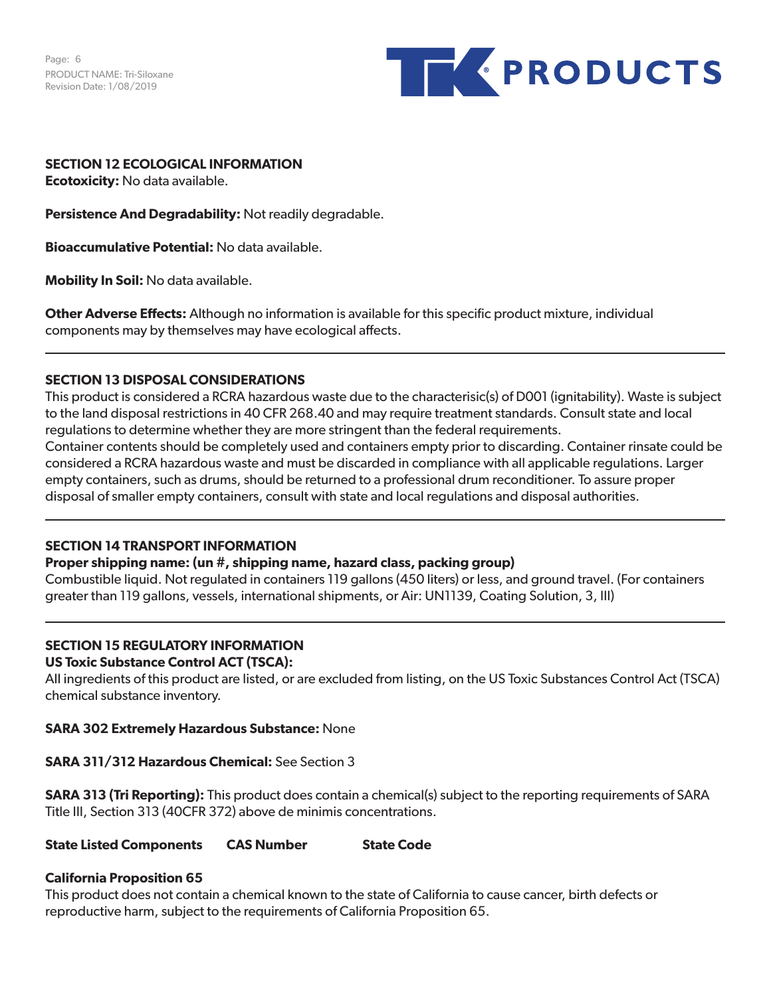Page: 6 PRODUCT NAME: Tri-Siloxane Revision Date: 1/08/2019



# **SECTION 12 ECOLOGICAL INFORMATION**

**Ecotoxicity:** No data available.

**Persistence And Degradability:** Not readily degradable.

**Bioaccumulative Potential:** No data available.

**Mobility In Soil:** No data available.

**Other Adverse Effects:** Although no information is available for this specific product mixture, individual components may by themselves may have ecological affects.

# **SECTION 13 DISPOSAL CONSIDERATIONS**

This product is considered a RCRA hazardous waste due to the characterisic(s) of D001 (ignitability). Waste is subject to the land disposal restrictions in 40 CFR 268.40 and may require treatment standards. Consult state and local regulations to determine whether they are more stringent than the federal requirements.

Container contents should be completely used and containers empty prior to discarding. Container rinsate could be considered a RCRA hazardous waste and must be discarded in compliance with all applicable regulations. Larger empty containers, such as drums, should be returned to a professional drum reconditioner. To assure proper disposal of smaller empty containers, consult with state and local regulations and disposal authorities.

# **SECTION 14 TRANSPORT INFORMATION**

### **Proper shipping name: (un #, shipping name, hazard class, packing group)**

Combustible liquid. Not regulated in containers 119 gallons (450 liters) or less, and ground travel. (For containers greater than 119 gallons, vessels, international shipments, or Air: UN1139, Coating Solution, 3, III)

# **SECTION 15 REGULATORY INFORMATION**

### **US Toxic Substance Control ACT (TSCA):**

All ingredients of this product are listed, or are excluded from listing, on the US Toxic Substances Control Act (TSCA) chemical substance inventory.

# **SARA 302 Extremely Hazardous Substance:** None

# **SARA 311/312 Hazardous Chemical:** See Section 3

**SARA 313 (Tri Reporting):** This product does contain a chemical(s) subject to the reporting requirements of SARA Title III, Section 313 (40CFR 372) above de minimis concentrations.

**State Listed Components CAS Number State Code** 

# **California Proposition 65**

This product does not contain a chemical known to the state of California to cause cancer, birth defects or reproductive harm, subject to the requirements of California Proposition 65.